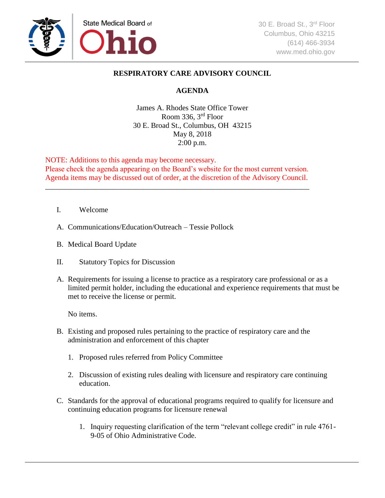

## **RESPIRATORY CARE ADVISORY COUNCIL**

## **AGENDA**

James A. Rhodes State Office Tower Room 336,  $3<sup>rd</sup>$  Floor 30 E. Broad St., Columbus, OH 43215 May 8, 2018 2:00 p.m.

NOTE: Additions to this agenda may become necessary. Please check the agenda appearing on the Board's website for the most current version. Agenda items may be discussed out of order, at the discretion of the Advisory Council.

\_\_\_\_\_\_\_\_\_\_\_\_\_\_\_\_\_\_\_\_\_\_\_\_\_\_\_\_\_\_\_\_\_\_\_\_\_\_\_\_\_\_\_\_\_\_\_\_\_\_\_\_\_\_\_\_\_\_\_\_\_\_\_\_\_\_\_\_\_\_

- I. Welcome
- A. Communications/Education/Outreach Tessie Pollock
- B. Medical Board Update
- II. Statutory Topics for Discussion
- A. Requirements for issuing a license to practice as a respiratory care professional or as a limited permit holder, including the educational and experience requirements that must be met to receive the license or permit.

No items.

- B. Existing and proposed rules pertaining to the practice of respiratory care and the administration and enforcement of this chapter
	- 1. Proposed rules referred from Policy Committee
	- 2. Discussion of existing rules dealing with licensure and respiratory care continuing education.
- C. Standards for the approval of educational programs required to qualify for licensure and continuing education programs for licensure renewal
	- 1. Inquiry requesting clarification of the term "relevant college credit" in rule 4761- 9-05 of Ohio Administrative Code.